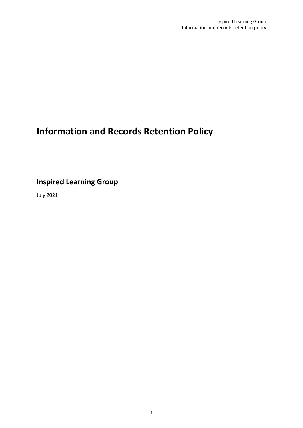# **Information and Records Retention Policy**

**Inspired Learning Group**

July 2021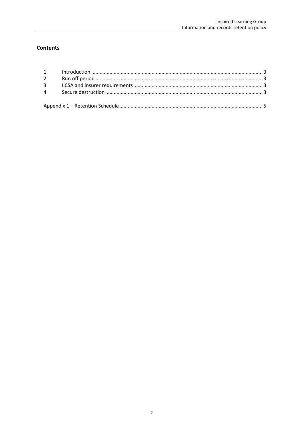# **Contents**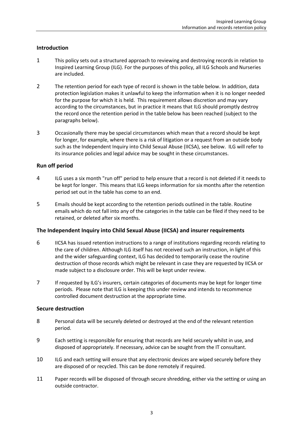# **Introduction**

- 1 This policy sets out a structured approach to reviewing and destroying records in relation to Inspired Learning Group (ILG). For the purposes of this policy, all ILG Schools and Nurseries are included.
- 2 The retention period for each type of record is shown in the table below. In addition, data protection legislation makes it unlawful to keep the information when it is no longer needed for the purpose for which it is held. This requirement allows discretion and may vary according to the circumstances, but in practice it means that ILG should promptly destroy the record once the retention period in the table below has been reached (subject to the paragraphs below).
- 3 Occasionally there may be special circumstances which mean that a record should be kept for longer, for example, where there is a risk of litigation or a request from an outside body such as the Independent Inquiry into Child Sexual Abuse (IICSA), see below. ILG will refer to its insurance policies and legal advice may be sought in these circumstances.

# **Run off period**

- 4 ILG uses a six month "run off" period to help ensure that a record is not deleted if it needs to be kept for longer. This means that ILG keeps information for six months after the retention period set out in the table has come to an end.
- 5 Emails should be kept according to the retention periods outlined in the table. Routine emails which do not fall into any of the categories in the table can be filed if they need to be retained, or deleted after six months.

# **The Independent Inquiry into Child Sexual Abuse (IICSA) and insurer requirements**

- 6 IICSA has issued retention instructions to a range of institutions regarding records relating to the care of children. Although ILG itself has not received such an instruction, in light of this and the wider safeguarding context, ILG has decided to temporarily cease the routine destruction of those records which might be relevant in case they are requested by IICSA or made subject to a disclosure order. This will be kept under review.
- 7 If requested by ILG's insurers, certain categories of documents may be kept for longer time periods. Please note that ILG is keeping this under review and intends to recommence controlled document destruction at the appropriate time.

# **Secure destruction**

- 8 Personal data will be securely deleted or destroyed at the end of the relevant retention period.
- 9 Each setting is responsible for ensuring that records are held securely whilst in use, and disposed of appropriately. If necessary, advice can be sought from the IT consultant.
- 10 ILG and each setting will ensure that any electronic devices are wiped securely before they are disposed of or recycled. This can be done remotely if required.
- 11 Paper records will be disposed of through secure shredding, either via the setting or using an outside contractor.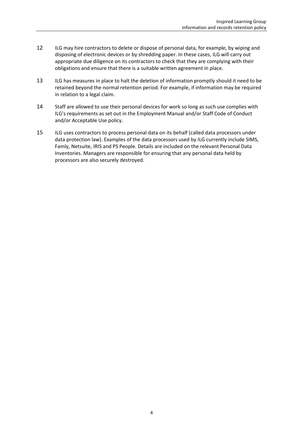- 12 ILG may hire contractors to delete or dispose of personal data, for example, by wiping and disposing of electronic devices or by shredding paper. In these cases, ILG will carry out appropriate due diligence on its contractors to check that they are complying with their obligations and ensure that there is a suitable written agreement in place.
- 13 ILG has measures in place to halt the deletion of information promptly should it need to be retained beyond the normal retention period. For example, if information may be required in relation to a legal claim.
- 14 Staff are allowed to use their personal devices for work so long as such use complies with ILG's requirements as set out in the Employment Manual and/or Staff Code of Conduct and/or Acceptable Use policy.
- 15 ILG uses contractors to process personal data on its behalf (called data processors under data protection law). Examples of the data processors used by ILG currently include SIMS, Famly, Netsuite, IRIS and PS People. Details are included on the relevant Personal Data Inventories. Managers are responsible for ensuring that any personal data held by processors are also securely destroyed.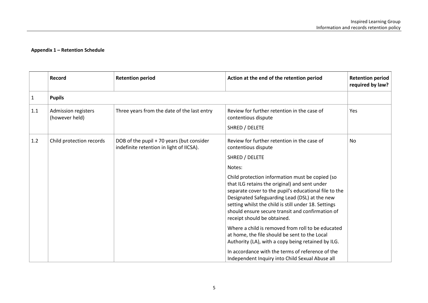|     | Record                                | <b>Retention period</b>                                                               | Action at the end of the retention period                                                                                                                                                                                                                                                                                                                                                                                                                                                                                                                                                                                                                                                                                  | <b>Retention period</b><br>required by law? |
|-----|---------------------------------------|---------------------------------------------------------------------------------------|----------------------------------------------------------------------------------------------------------------------------------------------------------------------------------------------------------------------------------------------------------------------------------------------------------------------------------------------------------------------------------------------------------------------------------------------------------------------------------------------------------------------------------------------------------------------------------------------------------------------------------------------------------------------------------------------------------------------------|---------------------------------------------|
| 1   | <b>Pupils</b>                         |                                                                                       |                                                                                                                                                                                                                                                                                                                                                                                                                                                                                                                                                                                                                                                                                                                            |                                             |
| 1.1 | Admission registers<br>(however held) | Three years from the date of the last entry                                           | Review for further retention in the case of<br>contentious dispute<br>SHRED / DELETE                                                                                                                                                                                                                                                                                                                                                                                                                                                                                                                                                                                                                                       | Yes                                         |
| 1.2 | Child protection records              | DOB of the pupil + 70 years (but consider<br>indefinite retention in light of IICSA). | Review for further retention in the case of<br>contentious dispute<br>SHRED / DELETE<br>Notes:<br>Child protection information must be copied (so<br>that ILG retains the original) and sent under<br>separate cover to the pupil's educational file to the<br>Designated Safeguarding Lead (DSL) at the new<br>setting whilst the child is still under 18. Settings<br>should ensure secure transit and confirmation of<br>receipt should be obtained.<br>Where a child is removed from roll to be educated<br>at home, the file should be sent to the Local<br>Authority (LA), with a copy being retained by ILG.<br>In accordance with the terms of reference of the<br>Independent Inquiry into Child Sexual Abuse all | <b>No</b>                                   |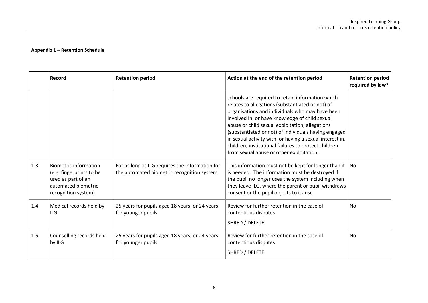|     | Record                                                                                                                       | <b>Retention period</b>                                                                       | Action at the end of the retention period                                                                                                                                                                                                                                                                                                                                                                                                                                            | <b>Retention period</b><br>required by law? |
|-----|------------------------------------------------------------------------------------------------------------------------------|-----------------------------------------------------------------------------------------------|--------------------------------------------------------------------------------------------------------------------------------------------------------------------------------------------------------------------------------------------------------------------------------------------------------------------------------------------------------------------------------------------------------------------------------------------------------------------------------------|---------------------------------------------|
|     |                                                                                                                              |                                                                                               | schools are required to retain information which<br>relates to allegations (substantiated or not) of<br>organisations and individuals who may have been<br>involved in, or have knowledge of child sexual<br>abuse or child sexual exploitation; allegations<br>(substantiated or not) of individuals having engaged<br>in sexual activity with, or having a sexual interest in,<br>children; institutional failures to protect children<br>from sexual abuse or other exploitation. |                                             |
| 1.3 | <b>Biometric information</b><br>(e.g. fingerprints to be<br>used as part of an<br>automated biometric<br>recognition system) | For as long as ILG requires the information for<br>the automated biometric recognition system | This information must not be kept for longer than it $ $ No<br>is needed. The information must be destroyed if<br>the pupil no longer uses the system including when<br>they leave ILG, where the parent or pupil withdraws<br>consent or the pupil objects to its use                                                                                                                                                                                                               |                                             |
| 1.4 | Medical records held by<br><b>ILG</b>                                                                                        | 25 years for pupils aged 18 years, or 24 years<br>for younger pupils                          | Review for further retention in the case of<br>contentious disputes<br>SHRED / DELETE                                                                                                                                                                                                                                                                                                                                                                                                | No                                          |
| 1.5 | Counselling records held<br>by ILG                                                                                           | 25 years for pupils aged 18 years, or 24 years<br>for younger pupils                          | Review for further retention in the case of<br>contentious disputes<br>SHRED / DELETE                                                                                                                                                                                                                                                                                                                                                                                                | <b>No</b>                                   |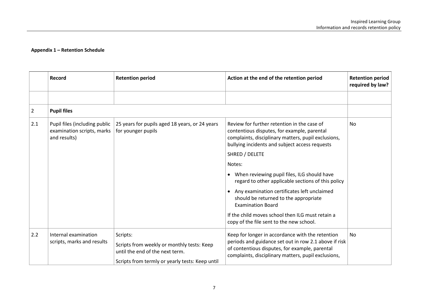|                | Record                                                                      | <b>Retention period</b>                                                       | Action at the end of the retention period                                                                                                                                                           | <b>Retention period</b><br>required by law? |
|----------------|-----------------------------------------------------------------------------|-------------------------------------------------------------------------------|-----------------------------------------------------------------------------------------------------------------------------------------------------------------------------------------------------|---------------------------------------------|
|                |                                                                             |                                                                               |                                                                                                                                                                                                     |                                             |
| $\overline{2}$ | <b>Pupil files</b>                                                          |                                                                               |                                                                                                                                                                                                     |                                             |
| 2.1            | Pupil files (including public<br>examination scripts, marks<br>and results) | 25 years for pupils aged 18 years, or 24 years<br>for younger pupils          | Review for further retention in the case of<br>contentious disputes, for example, parental<br>complaints, disciplinary matters, pupil exclusions,<br>bullying incidents and subject access requests | No.                                         |
|                |                                                                             |                                                                               | SHRED / DELETE                                                                                                                                                                                      |                                             |
|                |                                                                             |                                                                               | Notes:                                                                                                                                                                                              |                                             |
|                |                                                                             |                                                                               | • When reviewing pupil files, ILG should have<br>regard to other applicable sections of this policy                                                                                                 |                                             |
|                |                                                                             |                                                                               | Any examination certificates left unclaimed<br>$\bullet$<br>should be returned to the appropriate<br><b>Examination Board</b>                                                                       |                                             |
|                |                                                                             |                                                                               | If the child moves school then ILG must retain a<br>copy of the file sent to the new school.                                                                                                        |                                             |
| 2.2            | Internal examination                                                        | Scripts:                                                                      | Keep for longer in accordance with the retention                                                                                                                                                    | <b>No</b>                                   |
|                | scripts, marks and results                                                  | Scripts from weekly or monthly tests: Keep<br>until the end of the next term. | periods and guidance set out in row 2.1 above if risk<br>of contentious disputes, for example, parental<br>complaints, disciplinary matters, pupil exclusions,                                      |                                             |
|                |                                                                             | Scripts from termly or yearly tests: Keep until                               |                                                                                                                                                                                                     |                                             |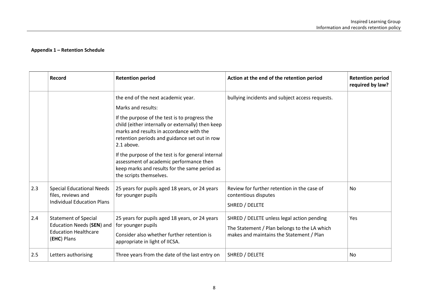|     | Record                                                                                                 | <b>Retention period</b>                                                                                                                                                                                                                                                                                                                                                                                                                                | Action at the end of the retention period                                                                                              | Retention period<br>required by law? |
|-----|--------------------------------------------------------------------------------------------------------|--------------------------------------------------------------------------------------------------------------------------------------------------------------------------------------------------------------------------------------------------------------------------------------------------------------------------------------------------------------------------------------------------------------------------------------------------------|----------------------------------------------------------------------------------------------------------------------------------------|--------------------------------------|
|     |                                                                                                        | the end of the next academic year.<br>Marks and results:<br>If the purpose of the test is to progress the<br>child (either internally or externally) then keep<br>marks and results in accordance with the<br>retention periods and guidance set out in row<br>2.1 above.<br>If the purpose of the test is for general internal<br>assessment of academic performance then<br>keep marks and results for the same period as<br>the scripts themselves. | bullying incidents and subject access requests.                                                                                        |                                      |
| 2.3 | <b>Special Educational Needs</b><br>files, reviews and<br><b>Individual Education Plans</b>            | 25 years for pupils aged 18 years, or 24 years<br>for younger pupils                                                                                                                                                                                                                                                                                                                                                                                   | Review for further retention in the case of<br>contentious disputes<br>SHRED / DELETE                                                  | No                                   |
| 2.4 | <b>Statement of Special</b><br>Education Needs (SEN) and<br><b>Education Healthcare</b><br>(EHC) Plans | 25 years for pupils aged 18 years, or 24 years<br>for younger pupils<br>Consider also whether further retention is<br>appropriate in light of IICSA.                                                                                                                                                                                                                                                                                                   | SHRED / DELETE unless legal action pending<br>The Statement / Plan belongs to the LA which<br>makes and maintains the Statement / Plan | Yes                                  |
| 2.5 | Letters authorising                                                                                    | Three years from the date of the last entry on                                                                                                                                                                                                                                                                                                                                                                                                         | SHRED / DELETE                                                                                                                         | No                                   |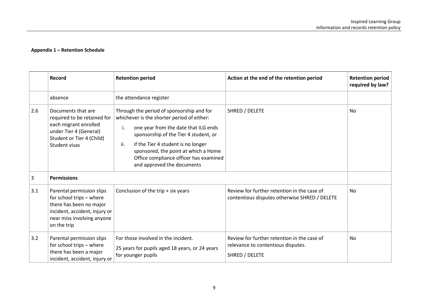|     | Record                                                                                                                                                         | <b>Retention period</b>                                                                                                                                                                                                                                                                                                                     | Action at the end of the retention period                                                           | <b>Retention period</b><br>required by law? |
|-----|----------------------------------------------------------------------------------------------------------------------------------------------------------------|---------------------------------------------------------------------------------------------------------------------------------------------------------------------------------------------------------------------------------------------------------------------------------------------------------------------------------------------|-----------------------------------------------------------------------------------------------------|---------------------------------------------|
|     | absence                                                                                                                                                        | the attendance register                                                                                                                                                                                                                                                                                                                     |                                                                                                     |                                             |
| 2.6 | Documents that are<br>required to be retained for<br>each migrant enrolled<br>under Tier 4 (General)<br>Student or Tier 4 (Child)<br>Student visas             | Through the period of sponsorship and for<br>whichever is the shorter period of either:<br>one year from the date that ILG ends<br>i.<br>sponsorship of the Tier 4 student, or<br>if the Tier 4 student is no longer<br>ii.<br>sponsored, the point at which a Home<br>Office compliance officer has examined<br>and approved the documents | SHRED / DELETE                                                                                      | No                                          |
| 3   | <b>Permissions</b>                                                                                                                                             |                                                                                                                                                                                                                                                                                                                                             |                                                                                                     |                                             |
| 3.1 | Parental permission slips<br>for school trips - where<br>there has been no major<br>incident, accident, injury or<br>near miss involving anyone<br>on the trip | Conclusion of the trip + six years                                                                                                                                                                                                                                                                                                          | Review for further retention in the case of<br>contentious disputes otherwise SHRED / DELETE        | <b>No</b>                                   |
| 3.2 | Parental permission slips<br>for school trips - where<br>there has been a major<br>incident, accident, injury or                                               | For those involved in the incident.<br>25 years for pupils aged 18 years, or 24 years<br>for younger pupils                                                                                                                                                                                                                                 | Review for further retention in the case of<br>relevance to contentious disputes.<br>SHRED / DELETE | No                                          |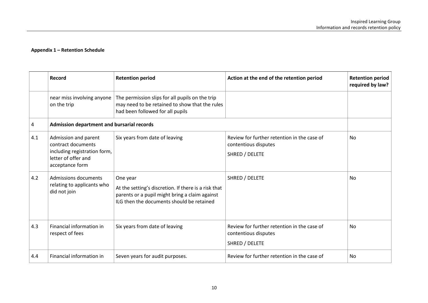|     | Record                                                                                                               | <b>Retention period</b>                                                                                                                                         | Action at the end of the retention period                                             | <b>Retention period</b><br>required by law? |
|-----|----------------------------------------------------------------------------------------------------------------------|-----------------------------------------------------------------------------------------------------------------------------------------------------------------|---------------------------------------------------------------------------------------|---------------------------------------------|
|     | near miss involving anyone<br>on the trip                                                                            | The permission slips for all pupils on the trip<br>may need to be retained to show that the rules<br>had been followed for all pupils                           |                                                                                       |                                             |
| 4   | Admission department and bursarial records                                                                           |                                                                                                                                                                 |                                                                                       |                                             |
| 4.1 | Admission and parent<br>contract documents<br>including registration form,<br>letter of offer and<br>acceptance form | Six years from date of leaving                                                                                                                                  | Review for further retention in the case of<br>contentious disputes<br>SHRED / DELETE | No                                          |
| 4.2 | <b>Admissions documents</b><br>relating to applicants who<br>did not join                                            | One year<br>At the setting's discretion. If there is a risk that<br>parents or a pupil might bring a claim against<br>ILG then the documents should be retained | SHRED / DELETE                                                                        | No                                          |
| 4.3 | Financial information in<br>respect of fees                                                                          | Six years from date of leaving                                                                                                                                  | Review for further retention in the case of<br>contentious disputes<br>SHRED / DELETE | No                                          |
| 4.4 | Financial information in                                                                                             | Seven years for audit purposes.                                                                                                                                 | Review for further retention in the case of                                           | <b>No</b>                                   |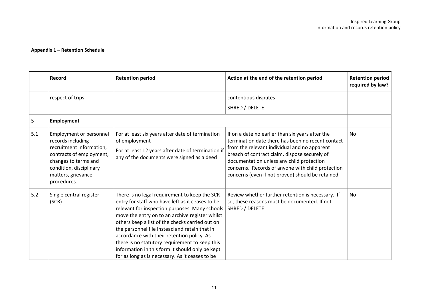|     | Record                                                                                                                                                                                       | <b>Retention period</b>                                                                                                                                                                                                                                                                                                                                                                                                                                                                                          | Action at the end of the retention period                                                                                                                                                                                                                                                                                                                    | <b>Retention period</b><br>required by law? |
|-----|----------------------------------------------------------------------------------------------------------------------------------------------------------------------------------------------|------------------------------------------------------------------------------------------------------------------------------------------------------------------------------------------------------------------------------------------------------------------------------------------------------------------------------------------------------------------------------------------------------------------------------------------------------------------------------------------------------------------|--------------------------------------------------------------------------------------------------------------------------------------------------------------------------------------------------------------------------------------------------------------------------------------------------------------------------------------------------------------|---------------------------------------------|
|     | respect of trips                                                                                                                                                                             |                                                                                                                                                                                                                                                                                                                                                                                                                                                                                                                  | contentious disputes<br>SHRED / DELETE                                                                                                                                                                                                                                                                                                                       |                                             |
| 5   | <b>Employment</b>                                                                                                                                                                            |                                                                                                                                                                                                                                                                                                                                                                                                                                                                                                                  |                                                                                                                                                                                                                                                                                                                                                              |                                             |
| 5.1 | Employment or personnel<br>records including<br>recruitment information,<br>contracts of employment,<br>changes to terms and<br>condition, disciplinary<br>matters, grievance<br>procedures. | For at least six years after date of termination<br>of employment<br>For at least 12 years after date of termination if<br>any of the documents were signed as a deed                                                                                                                                                                                                                                                                                                                                            | If on a date no earlier than six years after the<br>termination date there has been no recent contact<br>from the relevant individual and no apparent<br>breach of contract claim, dispose securely of<br>documentation unless any child protection<br>concerns. Records of anyone with child protection<br>concerns (even if not proved) should be retained | <b>No</b>                                   |
| 5.2 | Single central register<br>(SCR)                                                                                                                                                             | There is no legal requirement to keep the SCR<br>entry for staff who have left as it ceases to be<br>relevant for inspection purposes. Many schools<br>move the entry on to an archive register whilst<br>others keep a list of the checks carried out on<br>the personnel file instead and retain that in<br>accordance with their retention policy. As<br>there is no statutory requirement to keep this<br>information in this form it should only be kept<br>for as long as is necessary. As it ceases to be | Review whether further retention is necessary. If<br>so, these reasons must be documented. If not<br>SHRED / DELETE                                                                                                                                                                                                                                          | No                                          |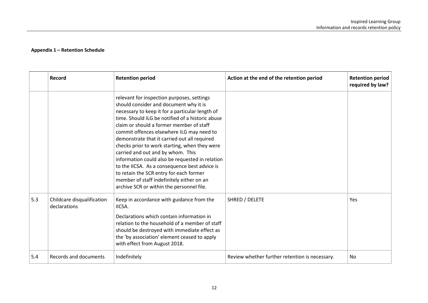|     | Record                                     | <b>Retention period</b>                                                                                                                                                                                                                                                                                                                                                                                                                                                                                                                                                                                                                                             | Action at the end of the retention period      | <b>Retention period</b><br>required by law? |
|-----|--------------------------------------------|---------------------------------------------------------------------------------------------------------------------------------------------------------------------------------------------------------------------------------------------------------------------------------------------------------------------------------------------------------------------------------------------------------------------------------------------------------------------------------------------------------------------------------------------------------------------------------------------------------------------------------------------------------------------|------------------------------------------------|---------------------------------------------|
|     |                                            | relevant for inspection purposes, settings<br>should consider and document why it is<br>necessary to keep it for a particular length of<br>time. Should ILG be notified of a historic abuse<br>claim or should a former member of staff<br>commit offences elsewhere ILG may need to<br>demonstrate that it carried out all required<br>checks prior to work starting, when they were<br>carried and out and by whom. This<br>information could also be requested in relation<br>to the IICSA. As a consequence best advice is<br>to retain the SCR entry for each former<br>member of staff indefinitely either on an<br>archive SCR or within the personnel file. |                                                |                                             |
| 5.3 | Childcare disqualification<br>declarations | Keep in accordance with guidance from the<br>IICSA.<br>Declarations which contain information in<br>relation to the household of a member of staff<br>should be destroyed with immediate effect as<br>the 'by association' element ceased to apply<br>with effect from August 2018.                                                                                                                                                                                                                                                                                                                                                                                 | SHRED / DELETE                                 | Yes                                         |
| 5.4 | Records and documents                      | Indefinitely                                                                                                                                                                                                                                                                                                                                                                                                                                                                                                                                                                                                                                                        | Review whether further retention is necessary. | No                                          |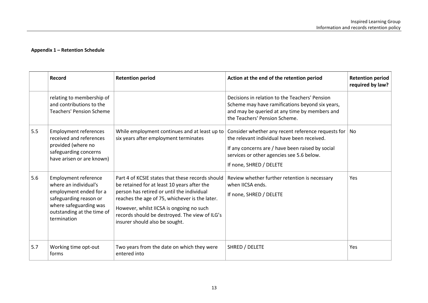|     | Record                                                                                                                                                                          | <b>Retention period</b>                                                                                                                                                                                                                                                                                                         | Action at the end of the retention period                                                                                                                                                                                                                                              | <b>Retention period</b><br>required by law? |
|-----|---------------------------------------------------------------------------------------------------------------------------------------------------------------------------------|---------------------------------------------------------------------------------------------------------------------------------------------------------------------------------------------------------------------------------------------------------------------------------------------------------------------------------|----------------------------------------------------------------------------------------------------------------------------------------------------------------------------------------------------------------------------------------------------------------------------------------|---------------------------------------------|
|     | relating to membership of<br>and contributions to the<br><b>Teachers' Pension Scheme</b>                                                                                        |                                                                                                                                                                                                                                                                                                                                 | Decisions in relation to the Teachers' Pension<br>Scheme may have ramifications beyond six years,<br>and may be queried at any time by members and<br>the Teachers' Pension Scheme.                                                                                                    |                                             |
| 5.5 | <b>Employment references</b><br>received and references<br>provided (where no<br>safeguarding concerns<br>have arisen or are known)                                             | six years after employment terminates                                                                                                                                                                                                                                                                                           | While employment continues and at least up to $ $ Consider whether any recent reference requests for $ $ No<br>the relevant individual have been received.<br>If any concerns are / have been raised by social<br>services or other agencies see 5.6 below.<br>If none, SHRED / DELETE |                                             |
| 5.6 | <b>Employment reference</b><br>where an individual's<br>employment ended for a<br>safeguarding reason or<br>where safeguarding was<br>outstanding at the time of<br>termination | Part 4 of KCSIE states that these records should<br>be retained for at least 10 years after the<br>person has retired or until the individual<br>reaches the age of 75, whichever is the later.<br>However, whilst IICSA is ongoing no such<br>records should be destroyed. The view of ILG's<br>insurer should also be sought. | Review whether further retention is necessary<br>when IICSA ends.<br>If none, SHRED / DELETE                                                                                                                                                                                           | <b>Yes</b>                                  |
| 5.7 | Working time opt-out<br>forms                                                                                                                                                   | Two years from the date on which they were<br>entered into                                                                                                                                                                                                                                                                      | SHRED / DELETE                                                                                                                                                                                                                                                                         | Yes                                         |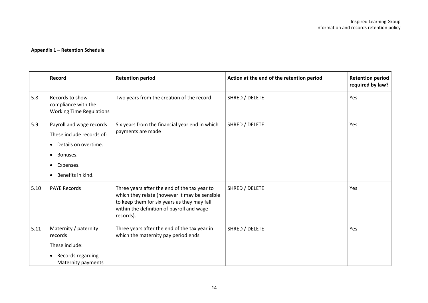|      | <b>Record</b>                                                                                                                            | <b>Retention period</b>                                                                                                                                                                                | Action at the end of the retention period | <b>Retention period</b><br>required by law? |
|------|------------------------------------------------------------------------------------------------------------------------------------------|--------------------------------------------------------------------------------------------------------------------------------------------------------------------------------------------------------|-------------------------------------------|---------------------------------------------|
| 5.8  | Records to show<br>compliance with the<br><b>Working Time Regulations</b>                                                                | Two years from the creation of the record                                                                                                                                                              | SHRED / DELETE                            | Yes                                         |
| 5.9  | Payroll and wage records<br>These include records of:<br>Details on overtime.<br>Bonuses.<br>Expenses.<br>$\bullet$<br>Benefits in kind. | Six years from the financial year end in which<br>payments are made                                                                                                                                    | SHRED / DELETE                            | Yes                                         |
| 5.10 | <b>PAYE Records</b>                                                                                                                      | Three years after the end of the tax year to<br>which they relate (however it may be sensible<br>to keep them for six years as they may fall<br>within the definition of payroll and wage<br>records). | SHRED / DELETE                            | Yes                                         |
| 5.11 | Maternity / paternity<br>records<br>These include:<br>Records regarding<br>Maternity payments                                            | Three years after the end of the tax year in<br>which the maternity pay period ends                                                                                                                    | SHRED / DELETE                            | Yes                                         |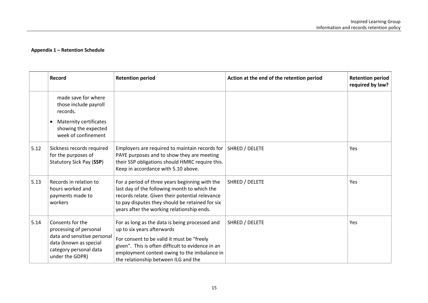|      | Record                                                                                                                                           | <b>Retention period</b>                                                                                                                                                                                                                                                 | Action at the end of the retention period | <b>Retention period</b><br>required by law? |
|------|--------------------------------------------------------------------------------------------------------------------------------------------------|-------------------------------------------------------------------------------------------------------------------------------------------------------------------------------------------------------------------------------------------------------------------------|-------------------------------------------|---------------------------------------------|
|      | made save for where<br>those include payroll<br>records.                                                                                         |                                                                                                                                                                                                                                                                         |                                           |                                             |
|      | <b>Maternity certificates</b><br>$\bullet$<br>showing the expected<br>week of confinement                                                        |                                                                                                                                                                                                                                                                         |                                           |                                             |
| 5.12 | Sickness records required<br>for the purposes of<br>Statutory Sick Pay (SSP)                                                                     | Employers are required to maintain records for<br>PAYE purposes and to show they are meeting<br>their SSP obligations should HMRC require this.<br>Keep in accordance with 5.10 above.                                                                                  | SHRED / DELETE                            | Yes                                         |
| 5.13 | Records in relation to<br>hours worked and<br>payments made to<br>workers                                                                        | For a period of three years beginning with the<br>last day of the following month to which the<br>records relate. Given their potential relevance<br>to pay disputes they should be retained for six<br>years after the working relationship ends.                      | SHRED / DELETE                            | Yes                                         |
| 5.14 | Consents for the<br>processing of personal<br>data and sensitive personal<br>data (known as special<br>category personal data<br>under the GDPR) | For as long as the data is being processed and<br>up to six years afterwards<br>For consent to be valid it must be "freely<br>given". This is often difficult to evidence in an<br>employment context owing to the imbalance in<br>the relationship between ILG and the | SHRED / DELETE                            | Yes                                         |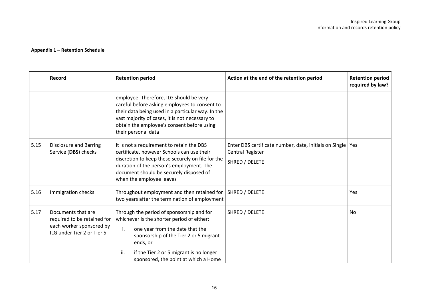|      | <b>Record</b>                                                                                               | <b>Retention period</b>                                                                                                                                                                                                                                                          | Action at the end of the retention period                                                          | <b>Retention period</b><br>required by law? |
|------|-------------------------------------------------------------------------------------------------------------|----------------------------------------------------------------------------------------------------------------------------------------------------------------------------------------------------------------------------------------------------------------------------------|----------------------------------------------------------------------------------------------------|---------------------------------------------|
|      |                                                                                                             | employee. Therefore, ILG should be very<br>careful before asking employees to consent to<br>their data being used in a particular way. In the<br>vast majority of cases, it is not necessary to<br>obtain the employee's consent before using<br>their personal data             |                                                                                                    |                                             |
| 5.15 | <b>Disclosure and Barring</b><br>Service (DBS) checks                                                       | It is not a requirement to retain the DBS<br>certificate, however Schools can use their<br>discretion to keep these securely on file for the<br>duration of the person's employment. The<br>document should be securely disposed of<br>when the employee leaves                  | Enter DBS certificate number, date, initials on Single   Yes<br>Central Register<br>SHRED / DELETE |                                             |
| 5.16 | Immigration checks                                                                                          | Throughout employment and then retained for<br>two years after the termination of employment                                                                                                                                                                                     | SHRED / DELETE                                                                                     | Yes                                         |
| 5.17 | Documents that are<br>required to be retained for<br>each worker sponsored by<br>ILG under Tier 2 or Tier 5 | Through the period of sponsorship and for<br>whichever is the shorter period of either:<br>one year from the date that the<br>i.<br>sponsorship of the Tier 2 or 5 migrant<br>ends, or<br>ii.<br>if the Tier 2 or 5 migrant is no longer<br>sponsored, the point at which a Home | SHRED / DELETE                                                                                     | <b>No</b>                                   |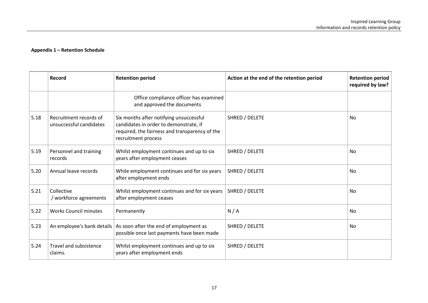|      | Record                                            | <b>Retention period</b>                                                                                                                                    | Action at the end of the retention period | <b>Retention period</b><br>required by law? |
|------|---------------------------------------------------|------------------------------------------------------------------------------------------------------------------------------------------------------------|-------------------------------------------|---------------------------------------------|
|      |                                                   | Office compliance officer has examined<br>and approved the documents                                                                                       |                                           |                                             |
| 5.18 | Recruitment records of<br>unsuccessful candidates | Six months after notifying unsuccessful<br>candidates in order to demonstrate, if<br>required, the fairness and transparency of the<br>recruitment process | SHRED / DELETE                            | <b>No</b>                                   |
| 5.19 | Personnel and training<br>records                 | Whilst employment continues and up to six<br>years after employment ceases                                                                                 | SHRED / DELETE                            | No                                          |
| 5.20 | Annual leave records                              | While employment continues and for six years<br>after employment ends                                                                                      | SHRED / DELETE                            | <b>No</b>                                   |
| 5.21 | Collective<br>/ workforce agreements              | Whilst employment continues and for six years<br>after employment ceases                                                                                   | SHRED / DELETE                            | No                                          |
| 5.22 | <b>Works Council minutes</b>                      | Permanently                                                                                                                                                | N/A                                       | <b>No</b>                                   |
| 5.23 | An employee's bank details                        | As soon after the end of employment as<br>possible once last payments have been made                                                                       | SHRED / DELETE                            | <b>No</b>                                   |
| 5.24 | <b>Travel and subsistence</b><br>claims.          | Whilst employment continues and up to six<br>years after employment ends                                                                                   | SHRED / DELETE                            |                                             |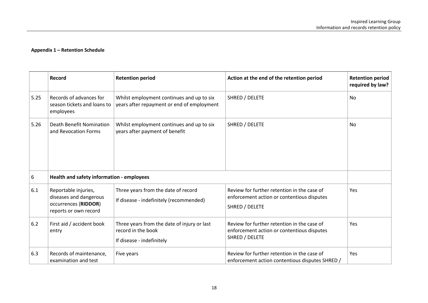<span id="page-17-0"></span>

|      | <b>Record</b>                                                                                   | <b>Retention period</b>                                                                        | Action at the end of the retention period                                                                   | <b>Retention period</b><br>required by law? |
|------|-------------------------------------------------------------------------------------------------|------------------------------------------------------------------------------------------------|-------------------------------------------------------------------------------------------------------------|---------------------------------------------|
| 5.25 | Records of advances for<br>season tickets and loans to<br>employees                             | Whilst employment continues and up to six<br>years after repayment or end of employment        | SHRED / DELETE                                                                                              | No                                          |
| 5.26 | Death Benefit Nomination<br>and Revocation Forms                                                | Whilst employment continues and up to six<br>years after payment of benefit                    | SHRED / DELETE                                                                                              | <b>No</b>                                   |
| 6    | Health and safety information - employees                                                       |                                                                                                |                                                                                                             |                                             |
| 6.1  | Reportable injuries,<br>diseases and dangerous<br>occurrences (RIDDOR)<br>reports or own record | Three years from the date of record<br>If disease - indefinitely (recommended)                 | Review for further retention in the case of<br>enforcement action or contentious disputes<br>SHRED / DELETE | Yes                                         |
| 6.2  | First aid / accident book<br>entry                                                              | Three years from the date of injury or last<br>record in the book<br>If disease - indefinitely | Review for further retention in the case of<br>enforcement action or contentious disputes<br>SHRED / DELETE | Yes                                         |
| 6.3  | Records of maintenance,<br>examination and test                                                 | Five years                                                                                     | Review for further retention in the case of<br>enforcement action contentious disputes SHRED /              | Yes                                         |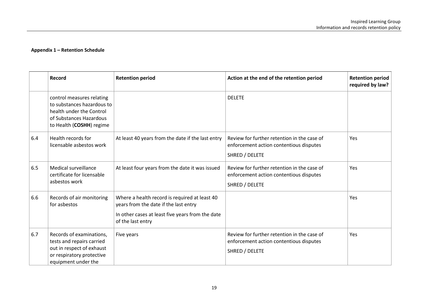|     | <b>Record</b>                                                                                                                              | <b>Retention period</b>                                                                                                                                         | Action at the end of the retention period                                                                | <b>Retention period</b><br>required by law? |
|-----|--------------------------------------------------------------------------------------------------------------------------------------------|-----------------------------------------------------------------------------------------------------------------------------------------------------------------|----------------------------------------------------------------------------------------------------------|---------------------------------------------|
|     | control measures relating<br>to substances hazardous to<br>health under the Control<br>of Substances Hazardous<br>to Health (COSHH) regime |                                                                                                                                                                 | <b>DELETE</b>                                                                                            |                                             |
| 6.4 | Health records for<br>licensable asbestos work                                                                                             | At least 40 years from the date if the last entry                                                                                                               | Review for further retention in the case of<br>enforcement action contentious disputes<br>SHRED / DELETE | Yes                                         |
| 6.5 | Medical surveillance<br>certificate for licensable<br>asbestos work                                                                        | At least four years from the date it was issued                                                                                                                 | Review for further retention in the case of<br>enforcement action contentious disputes<br>SHRED / DELETE | Yes                                         |
| 6.6 | Records of air monitoring<br>for asbestos                                                                                                  | Where a health record is required at least 40<br>years from the date if the last entry<br>In other cases at least five years from the date<br>of the last entry |                                                                                                          | Yes                                         |
| 6.7 | Records of examinations,<br>tests and repairs carried<br>out in respect of exhaust<br>or respiratory protective<br>equipment under the     | Five years                                                                                                                                                      | Review for further retention in the case of<br>enforcement action contentious disputes<br>SHRED / DELETE | Yes                                         |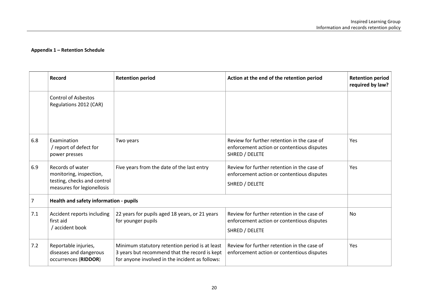|     | Record                                                                                                   | <b>Retention period</b>                                                                                                                            | Action at the end of the retention period                                                                   | <b>Retention period</b><br>required by law? |
|-----|----------------------------------------------------------------------------------------------------------|----------------------------------------------------------------------------------------------------------------------------------------------------|-------------------------------------------------------------------------------------------------------------|---------------------------------------------|
|     | <b>Control of Asbestos</b><br>Regulations 2012 (CAR)                                                     |                                                                                                                                                    |                                                                                                             |                                             |
| 6.8 | Examination<br>/ report of defect for<br>power presses                                                   | Two years                                                                                                                                          | Review for further retention in the case of<br>enforcement action or contentious disputes<br>SHRED / DELETE | Yes                                         |
| 6.9 | Records of water<br>monitoring, inspection,<br>testing, checks and control<br>measures for legionellosis | Five years from the date of the last entry                                                                                                         | Review for further retention in the case of<br>enforcement action or contentious disputes<br>SHRED / DELETE | Yes                                         |
| 7   | Health and safety information - pupils                                                                   |                                                                                                                                                    |                                                                                                             |                                             |
| 7.1 | Accident reports including<br>first aid<br>/ accident book                                               | 22 years for pupils aged 18 years, or 21 years<br>for younger pupils                                                                               | Review for further retention in the case of<br>enforcement action or contentious disputes<br>SHRED / DELETE | <b>No</b>                                   |
| 7.2 | Reportable injuries,<br>diseases and dangerous<br>occurrences (RIDDOR)                                   | Minimum statutory retention period is at least<br>3 years but recommend that the record is kept<br>for anyone involved in the incident as follows: | Review for further retention in the case of<br>enforcement action or contentious disputes                   | Yes                                         |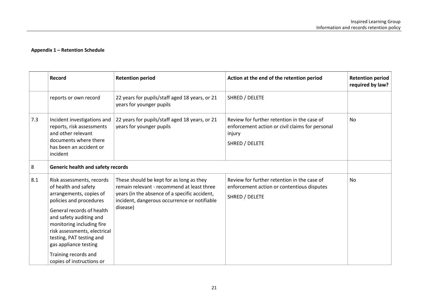|     | Record                                                                                                                                                                                                                                                                                                                                 | <b>Retention period</b>                                                                                                                                                                             | Action at the end of the retention period                                                                                  | <b>Retention period</b><br>required by law? |
|-----|----------------------------------------------------------------------------------------------------------------------------------------------------------------------------------------------------------------------------------------------------------------------------------------------------------------------------------------|-----------------------------------------------------------------------------------------------------------------------------------------------------------------------------------------------------|----------------------------------------------------------------------------------------------------------------------------|---------------------------------------------|
|     | reports or own record                                                                                                                                                                                                                                                                                                                  | 22 years for pupils/staff aged 18 years, or 21<br>years for younger pupils                                                                                                                          | SHRED / DELETE                                                                                                             |                                             |
| 7.3 | Incident investigations and<br>reports, risk assessments<br>and other relevant<br>documents where there<br>has been an accident or<br>incident                                                                                                                                                                                         | 22 years for pupils/staff aged 18 years, or 21<br>years for younger pupils                                                                                                                          | Review for further retention in the case of<br>enforcement action or civil claims for personal<br>injury<br>SHRED / DELETE | <b>No</b>                                   |
| 8   | <b>Generic health and safety records</b>                                                                                                                                                                                                                                                                                               |                                                                                                                                                                                                     |                                                                                                                            |                                             |
| 8.1 | Risk assessments, records<br>of health and safety<br>arrangements, copies of<br>policies and procedures<br>General records of health<br>and safety auditing and<br>monitoring including fire<br>risk assessments, electrical<br>testing, PAT testing and<br>gas appliance testing<br>Training records and<br>copies of instructions or | These should be kept for as long as they<br>remain relevant - recommend at least three<br>years (in the absence of a specific accident,<br>incident, dangerous occurrence or notifiable<br>disease) | Review for further retention in the case of<br>enforcement action or contentious disputes<br>SHRED / DELETE                | No                                          |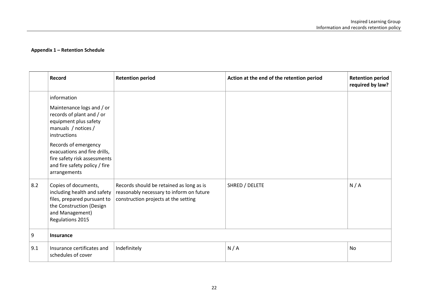|     | Record                                                                                                                                                                                                                                                                         | <b>Retention period</b>                                                                                                      | Action at the end of the retention period | <b>Retention period</b><br>required by law? |
|-----|--------------------------------------------------------------------------------------------------------------------------------------------------------------------------------------------------------------------------------------------------------------------------------|------------------------------------------------------------------------------------------------------------------------------|-------------------------------------------|---------------------------------------------|
|     | information<br>Maintenance logs and / or<br>records of plant and / or<br>equipment plus safety<br>manuals / notices /<br>instructions<br>Records of emergency<br>evacuations and fire drills,<br>fire safety risk assessments<br>and fire safety policy / fire<br>arrangements |                                                                                                                              |                                           |                                             |
| 8.2 | Copies of documents,<br>including health and safety<br>files, prepared pursuant to<br>the Construction (Design<br>and Management)<br>Regulations 2015                                                                                                                          | Records should be retained as long as is<br>reasonably necessary to inform on future<br>construction projects at the setting | SHRED / DELETE                            | N/A                                         |
| 9   | Insurance                                                                                                                                                                                                                                                                      |                                                                                                                              |                                           |                                             |
| 9.1 | Insurance certificates and<br>schedules of cover                                                                                                                                                                                                                               | Indefinitely                                                                                                                 | N/A                                       | <b>No</b>                                   |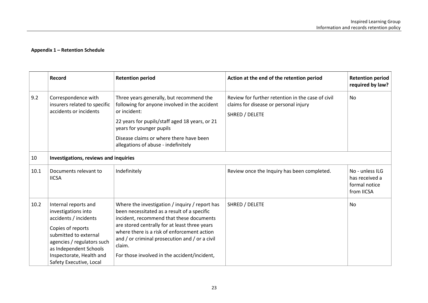|      | <b>Record</b>                                                                                                                                                                                                                     | <b>Retention period</b>                                                                                                                                                                                                                                                                                                                               | Action at the end of the retention period                                                                    | <b>Retention period</b><br>required by law?                      |  |
|------|-----------------------------------------------------------------------------------------------------------------------------------------------------------------------------------------------------------------------------------|-------------------------------------------------------------------------------------------------------------------------------------------------------------------------------------------------------------------------------------------------------------------------------------------------------------------------------------------------------|--------------------------------------------------------------------------------------------------------------|------------------------------------------------------------------|--|
| 9.2  | Correspondence with<br>insurers related to specific<br>accidents or incidents                                                                                                                                                     | Three years generally, but recommend the<br>following for anyone involved in the accident<br>or incident:<br>22 years for pupils/staff aged 18 years, or 21<br>years for younger pupils<br>Disease claims or where there have been<br>allegations of abuse - indefinitely                                                                             | Review for further retention in the case of civil<br>claims for disease or personal injury<br>SHRED / DELETE | No                                                               |  |
| 10   | Investigations, reviews and inquiries                                                                                                                                                                                             |                                                                                                                                                                                                                                                                                                                                                       |                                                                                                              |                                                                  |  |
| 10.1 | Documents relevant to<br><b>IICSA</b>                                                                                                                                                                                             | Indefinitely                                                                                                                                                                                                                                                                                                                                          | Review once the Inquiry has been completed.                                                                  | No - unless ILG<br>has received a<br>formal notice<br>from IICSA |  |
| 10.2 | Internal reports and<br>investigations into<br>accidents / incidents<br>Copies of reports<br>submitted to external<br>agencies / regulators such<br>as Independent Schools<br>Inspectorate, Health and<br>Safety Executive, Local | Where the investigation / inquiry / report has<br>been necessitated as a result of a specific<br>incident, recommend that these documents<br>are stored centrally for at least three years<br>where there is a risk of enforcement action<br>and / or criminal prosecution and / or a civil<br>claim.<br>For those involved in the accident/incident, | SHRED / DELETE                                                                                               | <b>No</b>                                                        |  |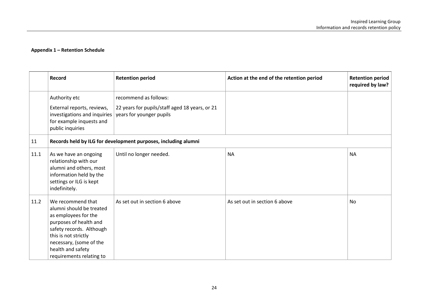|      | Record                                                                                                                                                                                                                          | <b>Retention period</b>                                                                             | Action at the end of the retention period | <b>Retention period</b><br>required by law? |
|------|---------------------------------------------------------------------------------------------------------------------------------------------------------------------------------------------------------------------------------|-----------------------------------------------------------------------------------------------------|-------------------------------------------|---------------------------------------------|
|      | Authority etc<br>External reports, reviews,<br>investigations and inquiries<br>for example inquests and<br>public inquiries                                                                                                     | recommend as follows:<br>22 years for pupils/staff aged 18 years, or 21<br>years for younger pupils |                                           |                                             |
| 11   | Records held by ILG for development purposes, including alumni                                                                                                                                                                  |                                                                                                     |                                           |                                             |
| 11.1 | As we have an ongoing<br>relationship with our<br>alumni and others, most<br>information held by the<br>settings or ILG is kept<br>indefinitely.                                                                                | Until no longer needed.                                                                             | <b>NA</b>                                 | <b>NA</b>                                   |
| 11.2 | We recommend that<br>alumni should be treated<br>as employees for the<br>purposes of health and<br>safety records. Although<br>this is not strictly<br>necessary, (some of the<br>health and safety<br>requirements relating to | As set out in section 6 above                                                                       | As set out in section 6 above             | <b>No</b>                                   |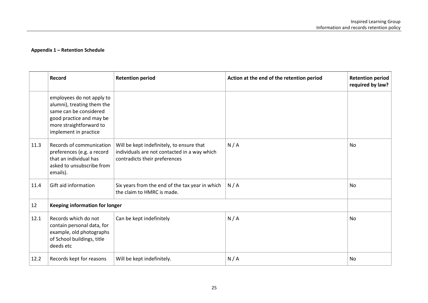|      | Record                                                                                                                                                            | <b>Retention period</b>                                                                                                    | Action at the end of the retention period | <b>Retention period</b><br>required by law? |
|------|-------------------------------------------------------------------------------------------------------------------------------------------------------------------|----------------------------------------------------------------------------------------------------------------------------|-------------------------------------------|---------------------------------------------|
|      | employees do not apply to<br>alumni), treating them the<br>same can be considered<br>good practice and may be<br>more straightforward to<br>implement in practice |                                                                                                                            |                                           |                                             |
| 11.3 | Records of communication<br>preferences (e.g. a record<br>that an individual has<br>asked to unsubscribe from<br>emails).                                         | Will be kept indefinitely, to ensure that<br>individuals are not contacted in a way which<br>contradicts their preferences | N/A                                       | <b>No</b>                                   |
| 11.4 | Gift aid information                                                                                                                                              | Six years from the end of the tax year in which<br>the claim to HMRC is made.                                              | N/A                                       | No                                          |
| 12   | <b>Keeping information for longer</b>                                                                                                                             |                                                                                                                            |                                           |                                             |
| 12.1 | Records which do not<br>contain personal data, for<br>example, old photographs<br>of School buildings, title<br>deeds etc                                         | Can be kept indefinitely                                                                                                   | N/A                                       | No                                          |
| 12.2 | Records kept for reasons                                                                                                                                          | Will be kept indefinitely.                                                                                                 | N/A                                       | No                                          |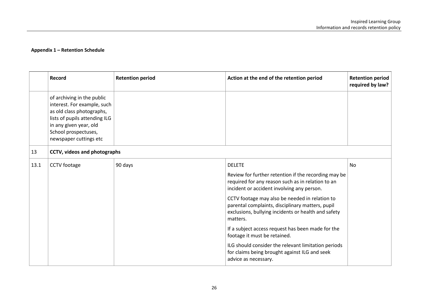|      | Record                                                                                                                                                                                              | <b>Retention period</b> | Action at the end of the retention period                                                                                                                                                                                                                                                                                                                                                                                                                                                                                                                              | <b>Retention period</b><br>required by law? |
|------|-----------------------------------------------------------------------------------------------------------------------------------------------------------------------------------------------------|-------------------------|------------------------------------------------------------------------------------------------------------------------------------------------------------------------------------------------------------------------------------------------------------------------------------------------------------------------------------------------------------------------------------------------------------------------------------------------------------------------------------------------------------------------------------------------------------------------|---------------------------------------------|
|      | of archiving in the public<br>interest. For example, such<br>as old class photographs,<br>lists of pupils attending ILG<br>in any given year, old<br>School prospectuses,<br>newspaper cuttings etc |                         |                                                                                                                                                                                                                                                                                                                                                                                                                                                                                                                                                                        |                                             |
| 13   | CCTV, videos and photographs                                                                                                                                                                        |                         |                                                                                                                                                                                                                                                                                                                                                                                                                                                                                                                                                                        |                                             |
| 13.1 | CCTV footage                                                                                                                                                                                        | 90 days                 | <b>DELETE</b><br>Review for further retention if the recording may be<br>required for any reason such as in relation to an<br>incident or accident involving any person.<br>CCTV footage may also be needed in relation to<br>parental complaints, disciplinary matters, pupil<br>exclusions, bullying incidents or health and safety<br>matters.<br>If a subject access request has been made for the<br>footage it must be retained.<br>ILG should consider the relevant limitation periods<br>for claims being brought against ILG and seek<br>advice as necessary. | No                                          |